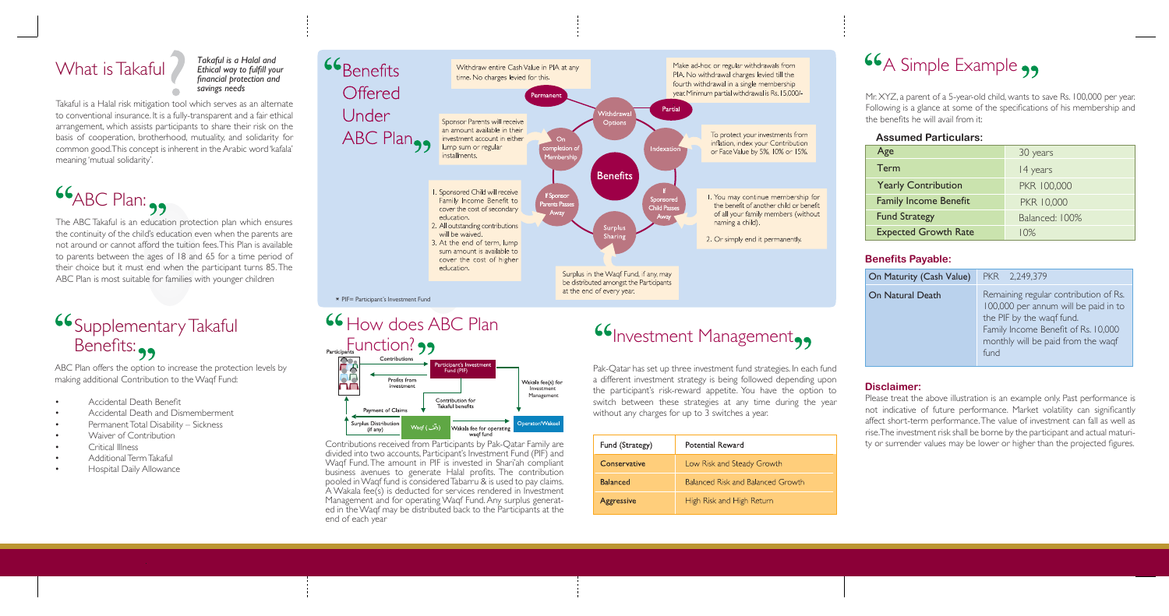The ABC Takaful is an education protection plan which ensures the continuity of the child's education even when the parents are not around or cannot afford the tuition fees. This Plan is available to parents between the ages of 18 and 65 for a time period of their choice but it must end when the participant turns 85. The ABC Plan is most suitable for families with younger children

# **Supplementary Takaful** Benefits:

# What is Takaful

ABC Plan offers the option to increase the protection levels by making additional Contribution to the Waqf Fund:

- Accidental Death Benefit
- Accidental Death and Dismemberment
- Permanent Total Disability Sickness
- Waiver of Contribution
- Critical Illness
- Additional Term Takaful
- Hospital Daily Allowance

Contributions received from Participants by Pak-Qatar Family are divided into two accounts, Participant's Investment Fund (PIF) and Waqf Fund. The amount in PIF is invested in Shari'ah compliant business avenues to generate Halal profits. The contribution pooled in Waqf fund is considered Tabarru & is used to pay claims. A Wakala fee(s) is deducted for services rendered in Investment Management and for operating Wagf Fund. Any surplus generated in the Waqf may be distributed back to the Participants at the end of each year

wagf fund

# **Investment Management,,**

Takaful is a Halal risk mitigation tool which serves as an alternate to conventional insurance. It is a fully-transparent and a fair ethical arrangement, which assists participants to share their risk on the basis of cooperation, brotherhood, mutuality, and solidarity for common good. This concept is inherent in the Arabic word 'kafala' meaning 'mutual solidarity'.

 $66$ ABC Plan:

Pak-Qatar has set up three investment fund strategies. In each fund a different investment strategy is being followed depending upon the participant's risk-reward appetite. You have the option to switch between these strategies at any time during the year without any charges for up to 3 switches a year.

| Fund (Strategy)   | Potential Reward                         |
|-------------------|------------------------------------------|
| Conservative      | Low Risk and Steady Growth               |
| <b>Balanced</b>   | <b>Balanced Risk and Balanced Growth</b> |
| <b>Aggressive</b> | High Risk and High Return                |

# **66** A Simple Example



Mr. XYZ, a parent of a 5-year-old child, wants to save Rs. 100,000 per year. Following is a glance at some of the specifications of his membership and the benefits he will avail from it:

## **Assumed Particulars:**

| Age                          | 30 years       |
|------------------------------|----------------|
| Term                         | 14 years       |
| <b>Yearly Contribution</b>   | PKR 100,000    |
| <b>Family Income Benefit</b> | PKR 10,000     |
| <b>Fund Strategy</b>         | Balanced: 100% |
| <b>Expected Growth Rate</b>  | $10\%$         |

| On Maturity (Cash Value) | PKR 2,249,379                                                                                                                                                                                   |
|--------------------------|-------------------------------------------------------------------------------------------------------------------------------------------------------------------------------------------------|
| <b>On Natural Death</b>  | Remaining regular contribution of Rs.<br>100,000 per annum will be paid in to<br>the PIF by the waqf fund.<br>Family Income Benefit of Rs. 10,000<br>monthly will be paid from the waqf<br>fund |

## **Benefits Payable:**

## **Disclaimer:**

Please treat the above illustration is an example only. Past performance is not indicative of future performance. Market volatility can significantly affect short-term performance. The value of investment can fall as well as rise. The investment risk shall be borne by the participant and actual maturity or surrender values may be lower or higher than the projected figures.

*Takaful is a Halal and Ethical way to fulfill your financial protection and savings needs*